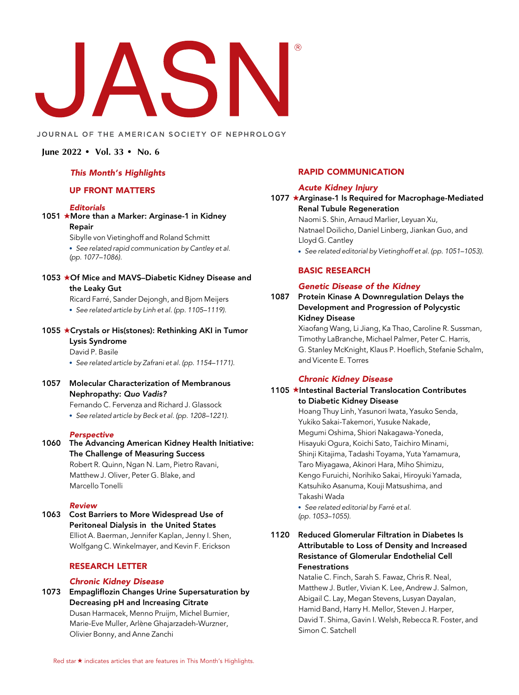# $\sum_{i=1}^n$

#### JOURNAL OF THE AMERICAN SOCIETY OF NEPHROLOGY

#### June 2022 • Vol. 33 • No. 6

#### This Month's Highlights

### UP FRONT MATTERS

#### **Editorials**

# 1051 **\*More than a Marker: Arginase-1 in Kidney** Repair

Sibylle von Vietinghoff and Roland Schmitt See related rapid communication by Cantley et al. (pp. 1077–1086).

1053 ★Of Mice and MAVS–Diabetic Kidney Disease and the Leaky Gut

Ricard Farre, Sander Dejongh, and Bjorn Meijers

- See related article by Linh et al. (pp. 1105–1119).
- 1055 ★Crystals or His(stones): Rethinking AKI in Tumor Lysis Syndrome

# David P. Basile

• See related article by Zafrani et al. (pp. 1154-1171).

1057 Molecular Characterization of Membranous Nephropathy: Quo Vadis?

Fernando C. Fervenza and Richard J. Glassock See related article by Beck et al. (pp. 1208–1221).

#### Perspective

1060 The Advancing American Kidney Health Initiative: The Challenge of Measuring Success Robert R. Quinn, Ngan N. Lam, Pietro Ravani, Matthew J. Oliver, Peter G. Blake, and Marcello Tonelli

#### Review

1063 Cost Barriers to More Widespread Use of Peritoneal Dialysis in the United States Elliot A. Baerman, Jennifer Kaplan, Jenny I. Shen, Wolfgang C. Winkelmayer, and Kevin F. Erickson

# RESEARCH LETTER

#### Chronic Kidney Disease

1073 Empagliflozin Changes Urine Supersaturation by Decreasing pH and Increasing Citrate Dusan Harmacek, Menno Pruijm, Michel Burnier, Marie-Eve Muller, Arlène Ghajarzadeh-Wurzner, Olivier Bonny, and Anne Zanchi

# RAPID COMMUNICATION

#### Acute Kidney Injury

#### 1077 ★Arginase-1 Is Required for Macrophage-Mediated Renal Tubule Regeneration

Naomi S. Shin, Arnaud Marlier, Leyuan Xu, Natnael Doilicho, Daniel Linberg, Jiankan Guo, and Lloyd G. Cantley

See related editorial by Vietinghoff et al. (pp. 1051–1053).

# BASIC RESEARCH

# Genetic Disease of the Kidney

1087 Protein Kinase A Downregulation Delays the Development and Progression of Polycystic Kidney Disease

> Xiaofang Wang, Li Jiang, Ka Thao, Caroline R. Sussman, Timothy LaBranche, Michael Palmer, Peter C. Harris, G. Stanley McKnight, Klaus P. Hoeflich, Stefanie Schalm, and Vicente E. Torres

#### Chronic Kidney Disease

# 1105 ★Intestinal Bacterial Translocation Contributes to Diabetic Kidney Disease

Hoang Thuy Linh, Yasunori Iwata, Yasuko Senda, Yukiko Sakai-Takemori, Yusuke Nakade, Megumi Oshima, Shiori Nakagawa-Yoneda, Hisayuki Ogura, Koichi Sato, Taichiro Minami, Shinji Kitajima, Tadashi Toyama, Yuta Yamamura, Taro Miyagawa, Akinori Hara, Miho Shimizu, Kengo Furuichi, Norihiko Sakai, Hiroyuki Yamada, Katsuhiko Asanuma, Kouji Matsushima, and Takashi Wada

• See related editorial by Farré et al. (pp. 1053–1055).

# 1120 Reduced Glomerular Filtration in Diabetes Is Attributable to Loss of Density and Increased Resistance of Glomerular Endothelial Cell Fenestrations

Natalie C. Finch, Sarah S. Fawaz, Chris R. Neal, Matthew J. Butler, Vivian K. Lee, Andrew J. Salmon, Abigail C. Lay, Megan Stevens, Lusyan Dayalan, Hamid Band, Harry H. Mellor, Steven J. Harper, David T. Shima, Gavin I. Welsh, Rebecca R. Foster, and Simon C. Satchell